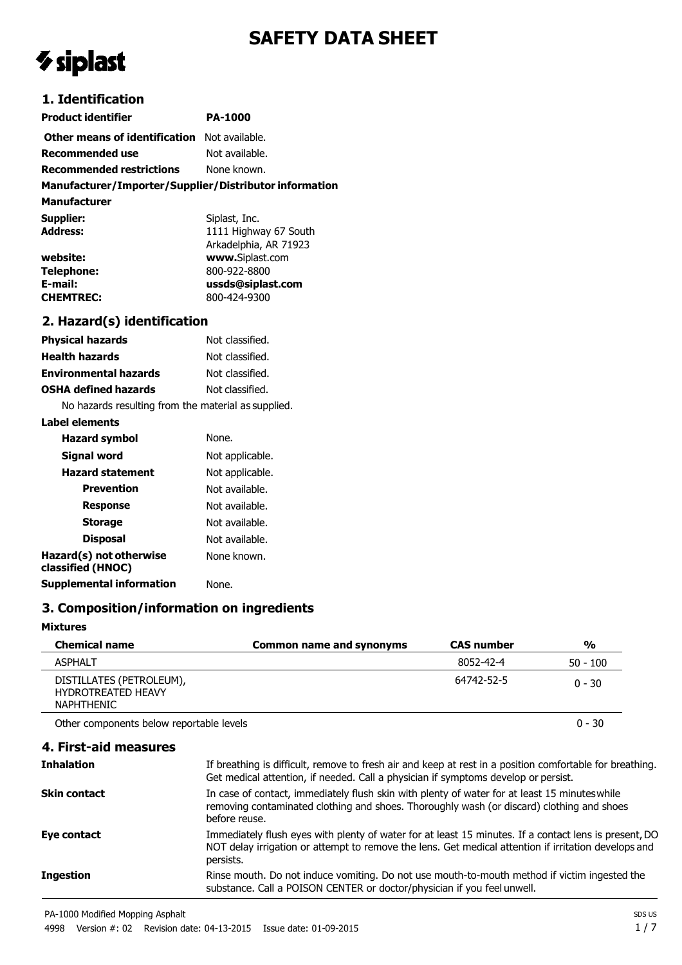# **SAFETY DATA SHEET**

# *V* siplast

# **1. Identification**

| Product identifier                                  | <b>PA-1000</b> |
|-----------------------------------------------------|----------------|
| <b>Other means of identification</b> Not available. |                |
| <b>Recommended use</b>                              | Not available. |
| <b>Recommended restrictions</b>                     | None known.    |

## **Manufacturer/Importer/Supplier/Distributor information**

**Manufacturer**

| Supplier:         | Siplast, Inc.         |
|-------------------|-----------------------|
| <b>Address:</b>   | 1111 Highway 67 South |
|                   | Arkadelphia, AR 71923 |
| website:          | www.Siplast.com       |
| <b>Telephone:</b> | 800-922-8800          |
| E-mail:           | ussds@siplast.com     |
| <b>CHEMTREC:</b>  | 800-424-9300          |

## **2. Hazard(s) identification**

| <b>Physical hazards</b>                             | Not classified. |  |
|-----------------------------------------------------|-----------------|--|
| <b>Health hazards</b>                               | Not classified. |  |
| <b>Environmental hazards</b>                        | Not classified. |  |
| <b>OSHA defined hazards</b><br>Not classified.      |                 |  |
| No hazards resulting from the material as supplied. |                 |  |

**Label elements Hazard symbol** None. **Signal word** Not applicable. **Hazard statement** Not applicable. **Prevention** Not available. **Response** Not available. **Storage** Not available. **Disposal** Not available. **Hazard(s) not otherwise classified (HNOC)** None known. **Supplemental information** None.

# **3. Composition/information on ingredients**

#### **Mixtures**

| <b>Chemical name</b>                                                       | Common name and synonyms | <b>CAS number</b> | %          |
|----------------------------------------------------------------------------|--------------------------|-------------------|------------|
| <b>ASPHALT</b>                                                             |                          | 8052-42-4         | $50 - 100$ |
| DISTILLATES (PETROLEUM),<br><b>HYDROTREATED HEAVY</b><br><b>NAPHTHENIC</b> |                          | 64742-52-5        | $0 - 30$   |
| Other components below reportable levels                                   |                          |                   | $0 - 30$   |

| 4. First-aid measures |                                                                                                                                                                                                |
|-----------------------|------------------------------------------------------------------------------------------------------------------------------------------------------------------------------------------------|
| <b>Inhalation</b>     | If breathing is difficult, remove to fresh air and keep at rest in a position comfortable for breathing.<br>Get medical attention, if needed. Call a physician if symptoms develop or persist. |
| Skin contact          | In case of contact, immediately flush skin with plenty of water for at least 15 minutes while<br>removing contaminated clothing and shoes. Thoroughly wash (or discard) clothing and shoes     |

|                  | Get medical attention, if needed. Call a physician if symptoms develop or persist.                                                                                                                                         |
|------------------|----------------------------------------------------------------------------------------------------------------------------------------------------------------------------------------------------------------------------|
| Skin contact     | In case of contact, immediately flush skin with plenty of water for at least 15 minutes while<br>removing contaminated clothing and shoes. Thoroughly wash (or discard) clothing and shoes<br>before reuse.                |
| Eye contact      | Immediately flush eyes with plenty of water for at least 15 minutes. If a contact lens is present, DO<br>NOT delay irrigation or attempt to remove the lens. Get medical attention if irritation develops and<br>persists. |
| <b>Ingestion</b> | Rinse mouth. Do not induce vomiting. Do not use mouth-to-mouth method if victim ingested the<br>substance. Call a POISON CENTER or doctor/physician if you feel unwell.                                                    |

PA-1000 Modified Mopping Asphalt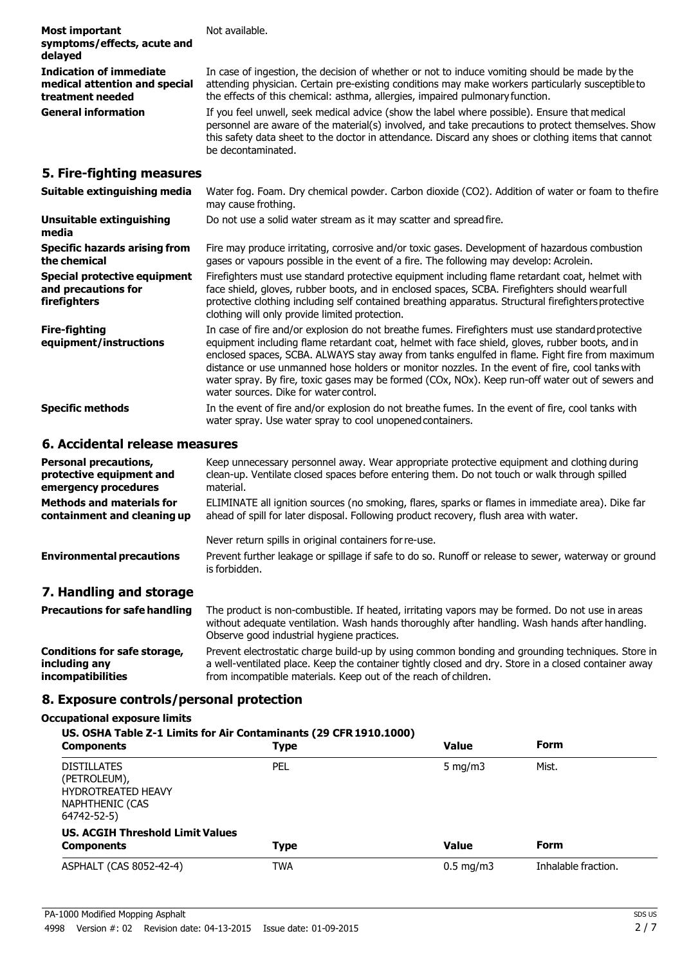| <b>Most important</b><br>symptoms/effects, acute and<br>delayed                     | Not available.                                                                                                                                                                                                                                                                                                                                             |
|-------------------------------------------------------------------------------------|------------------------------------------------------------------------------------------------------------------------------------------------------------------------------------------------------------------------------------------------------------------------------------------------------------------------------------------------------------|
| <b>Indication of immediate</b><br>medical attention and special<br>treatment needed | In case of ingestion, the decision of whether or not to induce vomiting should be made by the<br>attending physician. Certain pre-existing conditions may make workers particularly susceptible to<br>the effects of this chemical: asthma, allergies, impaired pulmonary function.                                                                        |
| <b>General information</b>                                                          | If you feel unwell, seek medical advice (show the label where possible). Ensure that medical<br>personnel are aware of the material(s) involved, and take precautions to protect themselves. Show<br>this safety data sheet to the doctor in attendance. Discard any shoes or clothing items that cannot<br>be decontaminated.                             |
| 5. Fire-fighting measures                                                           |                                                                                                                                                                                                                                                                                                                                                            |
| Suitable extinguishing media                                                        | Water fog. Foam. Dry chemical powder. Carbon dioxide (CO2). Addition of water or foam to the fire<br>may cause frothing.                                                                                                                                                                                                                                   |
| <b>Unsuitable extinguishing</b><br>media                                            | Do not use a solid water stream as it may scatter and spread fire.                                                                                                                                                                                                                                                                                         |
| <b>Specific hazards arising from</b><br>the chemical                                | Fire may produce irritating, corrosive and/or toxic gases. Development of hazardous combustion<br>gases or vapours possible in the event of a fire. The following may develop: Acrolein.                                                                                                                                                                   |
| <b>Special protective equipment</b><br>and precautions for<br>firefighters          | Firefighters must use standard protective equipment including flame retardant coat, helmet with<br>face shield, gloves, rubber boots, and in enclosed spaces, SCBA. Firefighters should wearfull<br>protective clothing including self contained breathing apparatus. Structural firefighters protective<br>clothing will only provide limited protection. |
| <b>Fire-fighting</b><br>equinment/instructions                                      | In case of fire and/or explosion do not breathe fumes. Firefighters must use standard protective<br>equipment including flame retardant coat helmet with face shield gloves rubber boots and in                                                                                                                                                            |

**equipment/instructions** equipment including flame retardant coat, helmet with face shield, gloves, rubber boots, and in enclosed spaces, SCBA. ALWAYS stay away from tanks engulfed in flame. Fight fire from maximum distance or use unmanned hose holders or monitor nozzles. In the event of fire, cool tanks with water spray. By fire, toxic gases may be formed (COx, NOx). Keep run-off water out of sewers and water sources. Dike for water control.

**Specific methods** In the event of fire and/or explosion do not breathe fumes. In the event of fire, cool tanks with water spray. Use water spray to cool unopened containers.

#### **6. Accidental release measures**

| <b>Personal precautions,</b><br>protective equipment and<br>emergency procedures | Keep unnecessary personnel away. Wear appropriate protective equipment and clothing during<br>clean-up. Ventilate closed spaces before entering them. Do not touch or walk through spilled<br>material.                                         |
|----------------------------------------------------------------------------------|-------------------------------------------------------------------------------------------------------------------------------------------------------------------------------------------------------------------------------------------------|
| <b>Methods and materials for</b><br>containment and cleaning up                  | ELIMINATE all ignition sources (no smoking, flares, sparks or flames in immediate area). Dike far<br>ahead of spill for later disposal. Following product recovery, flush area with water.                                                      |
|                                                                                  | Never return spills in original containers for re-use.                                                                                                                                                                                          |
| <b>Environmental precautions</b>                                                 | Prevent further leakage or spillage if safe to do so. Runoff or release to sewer, waterway or ground<br>is forbidden.                                                                                                                           |
| 7. Handling and storage                                                          |                                                                                                                                                                                                                                                 |
| <b>Precautions for safe handling</b>                                             | The product is non-combustible. If heated, irritating vapors may be formed. Do not use in areas<br>without adequate ventilation. Wash hands thoroughly after handling. Wash hands after handling.<br>Observe good industrial hygiene practices. |
| <b>Conditions for safe storage,</b><br>including any                             | Prevent electrostatic charge build-up by using common bonding and grounding techniques. Store in<br>a well-ventilated place. Keep the container tightly closed and dry. Store in a closed container away                                        |

from incompatible materials. Keep out of the reach of children.

#### **8. Exposure controls/personal protection**

#### **Occupational exposure limits**

**incompatibilities**

| US. OSHA Table Z-1 Limits for Air Contaminants (29 CFR 1910.1000)<br><b>Components</b>                   | Type | <b>Value</b>       | <b>Form</b>         |
|----------------------------------------------------------------------------------------------------------|------|--------------------|---------------------|
| <b>DISTILLATES</b><br>(PETROLEUM),<br><b>HYDROTREATED HEAVY</b><br><b>NAPHTHENIC (CAS</b><br>64742-52-5) | PEL  | 5 $mq/m3$          | Mist.               |
| <b>US. ACGIH Threshold Limit Values</b><br><b>Components</b>                                             | Type | <b>Value</b>       | <b>Form</b>         |
| ASPHALT (CAS 8052-42-4)                                                                                  | TWA  | $0.5 \text{ mg/m}$ | Inhalable fraction. |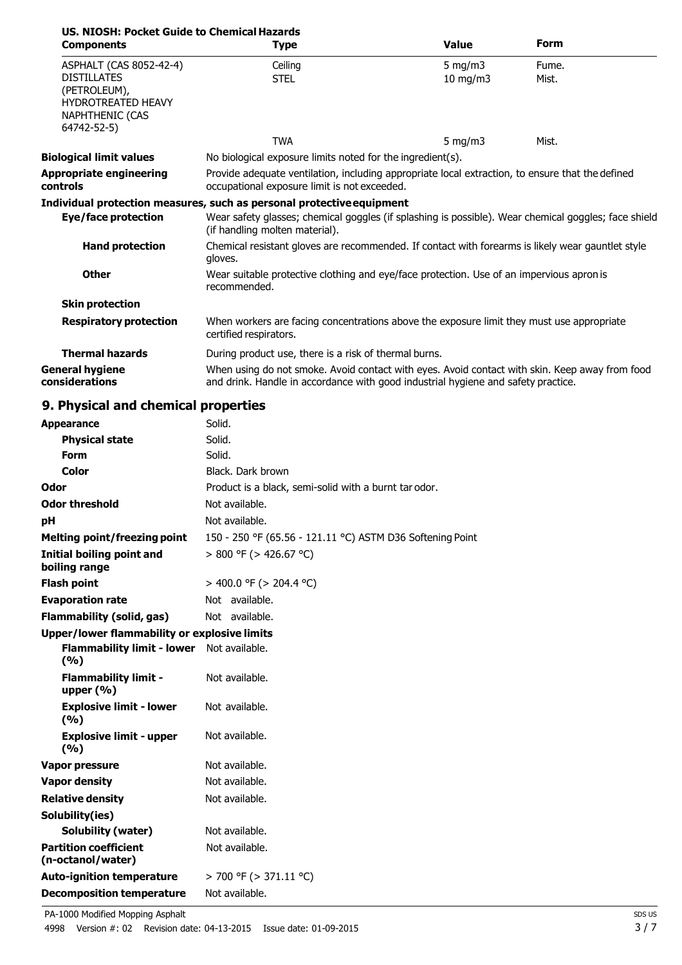| US. NIOSH: Pocket Guide to Chemical Hazards                                        |                                                                                                                                                                                     |               |       |
|------------------------------------------------------------------------------------|-------------------------------------------------------------------------------------------------------------------------------------------------------------------------------------|---------------|-------|
| <b>Components</b>                                                                  | <b>Type</b>                                                                                                                                                                         | <b>Value</b>  | Form  |
| ASPHALT (CAS 8052-42-4)                                                            | Ceiling                                                                                                                                                                             | 5 mg/m $3$    | Fume. |
| <b>DISTILLATES</b><br>(PETROLEUM),<br><b>HYDROTREATED HEAVY</b><br>NAPHTHENIC (CAS | <b>STEL</b>                                                                                                                                                                         | $10$ mg/m $3$ | Mist. |
| 64742-52-5)                                                                        |                                                                                                                                                                                     |               |       |
|                                                                                    | <b>TWA</b>                                                                                                                                                                          | 5 mg/m $3$    | Mist. |
| <b>Biological limit values</b>                                                     | No biological exposure limits noted for the ingredient(s).                                                                                                                          |               |       |
| <b>Appropriate engineering</b><br><b>controls</b>                                  | Provide adequate ventilation, including appropriate local extraction, to ensure that the defined<br>occupational exposure limit is not exceeded.                                    |               |       |
|                                                                                    | Individual protection measures, such as personal protective equipment                                                                                                               |               |       |
| <b>Eye/face protection</b>                                                         | Wear safety glasses; chemical goggles (if splashing is possible). Wear chemical goggles; face shield<br>(if handling molten material).                                              |               |       |
| <b>Hand protection</b>                                                             | Chemical resistant gloves are recommended. If contact with forearms is likely wear gauntlet style<br>gloves.                                                                        |               |       |
| <b>Other</b>                                                                       | Wear suitable protective clothing and eye/face protection. Use of an impervious apron is<br>recommended.                                                                            |               |       |
| <b>Skin protection</b>                                                             |                                                                                                                                                                                     |               |       |
| <b>Respiratory protection</b>                                                      | When workers are facing concentrations above the exposure limit they must use appropriate<br>certified respirators.                                                                 |               |       |
| <b>Thermal hazards</b>                                                             | During product use, there is a risk of thermal burns.                                                                                                                               |               |       |
| <b>General hygiene</b><br>considerations                                           | When using do not smoke. Avoid contact with eyes. Avoid contact with skin. Keep away from food<br>and drink. Handle in accordance with good industrial hygiene and safety practice. |               |       |

# **9. Physical and chemical properties**

| <b>Appearance</b>                                 | Solid.                                                    |
|---------------------------------------------------|-----------------------------------------------------------|
| <b>Physical state</b>                             | Solid.                                                    |
| <b>Form</b>                                       | Solid.                                                    |
| Color                                             | Black. Dark brown                                         |
| Odor                                              | Product is a black, semi-solid with a burnt tar odor.     |
| <b>Odor threshold</b>                             | Not available.                                            |
| рH                                                | Not available.                                            |
| <b>Melting point/freezing point</b>               | 150 - 250 °F (65.56 - 121.11 °C) ASTM D36 Softening Point |
| Initial boiling point and<br>boiling range        | $> 800$ °F ( $> 426.67$ °C)                               |
| <b>Flash point</b>                                | > 400.0 °F (> 204.4 °C)                                   |
| <b>Evaporation rate</b>                           | Not available.                                            |
| <b>Flammability (solid, gas)</b>                  | Not available.                                            |
| Upper/lower flammability or explosive limits      |                                                           |
| <b>Flammability limit - lower</b><br>(%)          | Not available.                                            |
| <b>Flammability limit -</b><br>upper $(\% )$      | Not available.                                            |
| <b>Explosive limit - lower</b><br>(9/6)           | Not available.                                            |
| <b>Explosive limit - upper</b><br>(9/6)           | Not available.                                            |
| Vapor pressure                                    | Not available.                                            |
| <b>Vapor density</b>                              | Not available.                                            |
| <b>Relative density</b>                           | Not available.                                            |
| Solubility(ies)                                   |                                                           |
| <b>Solubility (water)</b>                         | Not available.                                            |
| <b>Partition coefficient</b><br>(n-octanol/water) | Not available.                                            |
| <b>Auto-ignition temperature</b>                  | > 700 °F (> 371.11 °C)                                    |
| <b>Decomposition temperature</b>                  | Not available.                                            |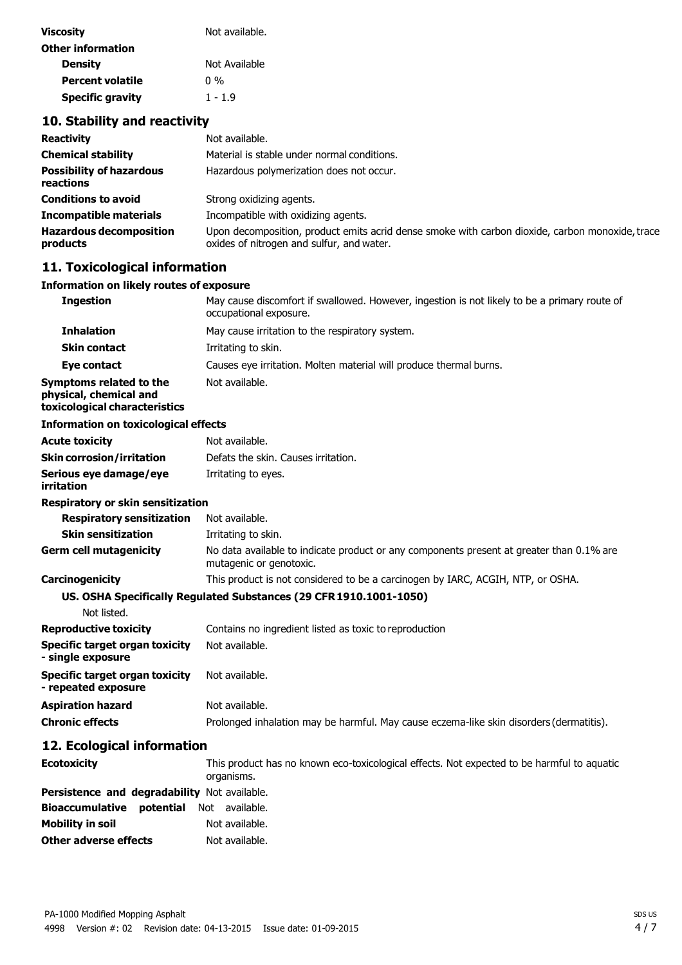| <b>Viscosity</b>         | Not available. |
|--------------------------|----------------|
| <b>Other information</b> |                |
| <b>Density</b>           | Not Available  |
| Percent volatile         | በ %            |
| <b>Specific gravity</b>  | $1 - 1.9$      |

# **10. Stability and reactivity**

| <b>Reactivity</b>                            | Not available.                                                                                                                               |
|----------------------------------------------|----------------------------------------------------------------------------------------------------------------------------------------------|
| <b>Chemical stability</b>                    | Material is stable under normal conditions.                                                                                                  |
| <b>Possibility of hazardous</b><br>reactions | Hazardous polymerization does not occur.                                                                                                     |
| <b>Conditions to avoid</b>                   | Strong oxidizing agents.                                                                                                                     |
| <b>Incompatible materials</b>                | Incompatible with oxidizing agents.                                                                                                          |
| <b>Hazardous decomposition</b><br>products   | Upon decomposition, product emits acrid dense smoke with carbon dioxide, carbon monoxide, trace<br>oxides of nitrogen and sulfur, and water. |

# **11. Toxicological information**

| Information on likely routes of exposure                                           |                                                                                                                        |
|------------------------------------------------------------------------------------|------------------------------------------------------------------------------------------------------------------------|
| <b>Ingestion</b>                                                                   | May cause discomfort if swallowed. However, ingestion is not likely to be a primary route of<br>occupational exposure. |
| <b>Inhalation</b>                                                                  | May cause irritation to the respiratory system.                                                                        |
| <b>Skin contact</b>                                                                | Irritating to skin.                                                                                                    |
| <b>Eye contact</b>                                                                 | Causes eye irritation. Molten material will produce thermal burns.                                                     |
| Symptoms related to the<br>physical, chemical and<br>toxicological characteristics | Not available.                                                                                                         |
| <b>Information on toxicological effects</b>                                        |                                                                                                                        |
| <b>Acute toxicity</b>                                                              | Not available.                                                                                                         |
| <b>Skin corrosion/irritation</b>                                                   | Defats the skin. Causes irritation.                                                                                    |
| Serious eye damage/eye<br>irritation                                               | Irritating to eyes.                                                                                                    |
| <b>Respiratory or skin sensitization</b>                                           |                                                                                                                        |
| <b>Respiratory sensitization</b>                                                   | Not available.                                                                                                         |
| <b>Skin sensitization</b>                                                          | Irritating to skin.                                                                                                    |
| <b>Germ cell mutagenicity</b>                                                      | No data available to indicate product or any components present at greater than 0.1% are<br>mutagenic or genotoxic.    |
| Carcinogenicity                                                                    | This product is not considered to be a carcinogen by IARC, ACGIH, NTP, or OSHA.                                        |
|                                                                                    | US. OSHA Specifically Regulated Substances (29 CFR 1910.1001-1050)                                                     |
| Not listed.                                                                        |                                                                                                                        |
| <b>Reproductive toxicity</b>                                                       | Contains no ingredient listed as toxic to reproduction                                                                 |
| <b>Specific target organ toxicity</b><br>- single exposure                         | Not available.                                                                                                         |
| <b>Specific target organ toxicity</b><br>- repeated exposure                       | Not available.                                                                                                         |
| <b>Aspiration hazard</b>                                                           | Not available.                                                                                                         |
| <b>Chronic effects</b>                                                             | Prolonged inhalation may be harmful. May cause eczema-like skin disorders (dermatitis).                                |
| 12. Ecological information                                                         |                                                                                                                        |
| <b>Ecotoxicity</b>                                                                 | This product has no known eco-toxicological effects. Not expected to be harmful to aquatic<br>organisms.               |
| Persistence and degradability Not available.                                       |                                                                                                                        |
| potential<br><b>Bioaccumulative</b>                                                | Not available.                                                                                                         |
| <b>Mobility in soil</b>                                                            | Not available.                                                                                                         |
| <b>Other adverse effects</b>                                                       | Not available.                                                                                                         |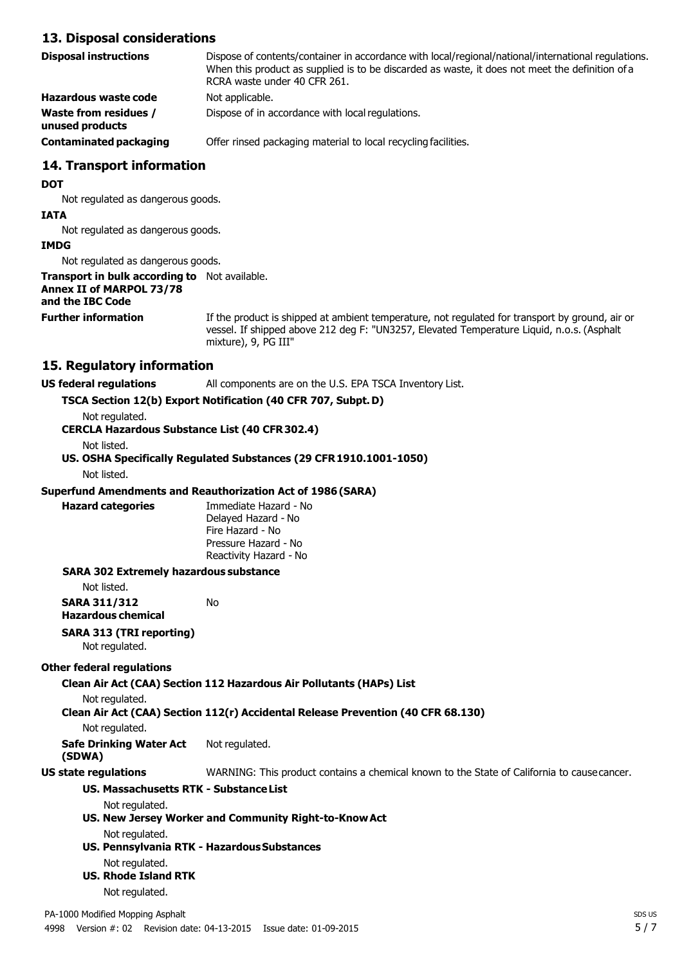#### **13. Disposal considerations**

| Disposal instructions                           | Dispose of contents/container in accordance with local/regional/national/international regulations.<br>When this product as supplied is to be discarded as waste, it does not meet the definition of a<br>RCRA waste under 40 CFR 261. |
|-------------------------------------------------|----------------------------------------------------------------------------------------------------------------------------------------------------------------------------------------------------------------------------------------|
| <b>Hazardous waste code</b>                     | Not applicable.                                                                                                                                                                                                                        |
| <b>Waste from residues /</b><br>unused products | Dispose of in accordance with local regulations.                                                                                                                                                                                       |
| <b>Contaminated packaging</b>                   | Offer rinsed packaging material to local recycling facilities.                                                                                                                                                                         |
|                                                 |                                                                                                                                                                                                                                        |

## **14. Transport information**

#### **DOT**

Not regulated as dangerous goods.

#### **IATA**

Not regulated as dangerous goods.

#### **IMDG**

Not regulated as dangerous goods.

#### **Transport in bulk according to** Not available. **Annex II of MARPOL 73/78**

## **and the IBC Code**

**Further information** If the product is shipped at ambient temperature, not regulated for transport by ground, air or vessel. If shipped above 212 deg F: "UN3257, Elevated Temperature Liquid, n.o.s. (Asphalt mixture), 9, PG III"

#### **15. Regulatory information**

#### **US federal regulations** All components are on the U.S. EPA TSCA Inventory List.

#### **TSCA Section 12(b) Export Notification (40 CFR 707, Subpt.D)**

Not regulated.

**CERCLA Hazardous Substance List (40 CFR302.4)**

Not listed.

#### **US. OSHA Specifically Regulated Substances (29 CFR1910.1001-1050)** Not listed.

#### **Superfund Amendments and Reauthorization Act of 1986(SARA)**

**Hazard categories** Immediate Hazard - No Delayed Hazard - No Fire Hazard - No Pressure Hazard - No Reactivity Hazard - No

#### **SARA 302 Extremely hazardous substance**

Not listed.

**SARA 311/312** No

**Hazardous chemical**

## **SARA 313 (TRI reporting)**

Not regulated.

#### **Other federal regulations**

#### **Clean Air Act (CAA) Section 112 Hazardous Air Pollutants (HAPs) List**

#### Not regulated.

**Clean Air Act (CAA) Section 112(r) Accidental Release Prevention (40 CFR 68.130)**

Not regulated.

#### **Safe Drinking Water Act (SDWA)** Not regulated.

**US state regulations** WARNING: This product contains a chemical known to the State of California to causecancer.

# **US. Massachusetts RTK - SubstanceList**

Not regulated.

- **US. New Jersey Worker and Community Right-to-KnowAct** Not regulated.
- **US. Pennsylvania RTK - HazardousSubstances** Not regulated.
- **US. Rhode Island RTK**

Not regulated.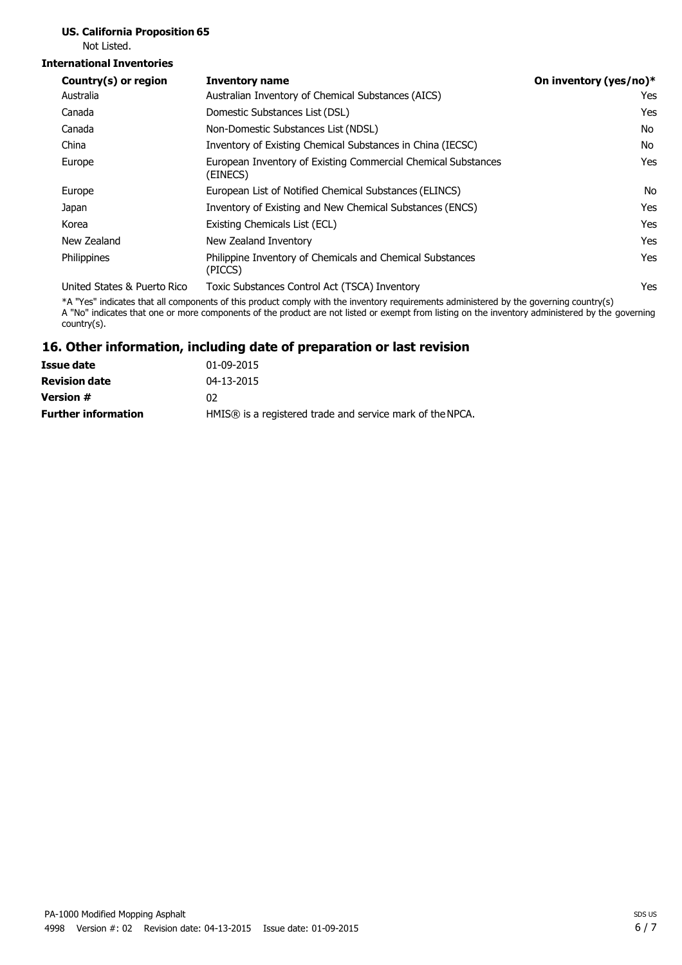# **US. California Proposition 65**

Not Listed.

#### **International Inventories**

| Country(s) or region        | <b>Inventory name</b>                                                     | On inventory (yes/no)* |
|-----------------------------|---------------------------------------------------------------------------|------------------------|
| Australia                   | Australian Inventory of Chemical Substances (AICS)                        | Yes                    |
| Canada                      | Domestic Substances List (DSL)                                            | Yes                    |
| Canada                      | Non-Domestic Substances List (NDSL)                                       | No                     |
| China                       | Inventory of Existing Chemical Substances in China (IECSC)                | No                     |
| Europe                      | European Inventory of Existing Commercial Chemical Substances<br>(EINECS) | Yes                    |
| Europe                      | European List of Notified Chemical Substances (ELINCS)                    | No.                    |
| Japan                       | Inventory of Existing and New Chemical Substances (ENCS)                  | Yes                    |
| Korea                       | Existing Chemicals List (ECL)                                             | Yes                    |
| New Zealand                 | New Zealand Inventory                                                     | Yes                    |
| Philippines                 | Philippine Inventory of Chemicals and Chemical Substances<br>(PICCS)      | Yes                    |
| United States & Puerto Rico | Toxic Substances Control Act (TSCA) Inventory                             | Yes                    |

\*A "Yes" indicates that all components of this product comply with the inventory requirements administered by the governing country(s) A "No" indicates that one or more components of the product are not listed or exempt from listing on the inventory administered by the governing country(s).

#### **16. Other information, including date of preparation or last revision**

| 01-09-2015                                                |
|-----------------------------------------------------------|
| 04-13-2015                                                |
| 02                                                        |
| HMIS® is a registered trade and service mark of the NPCA. |
|                                                           |